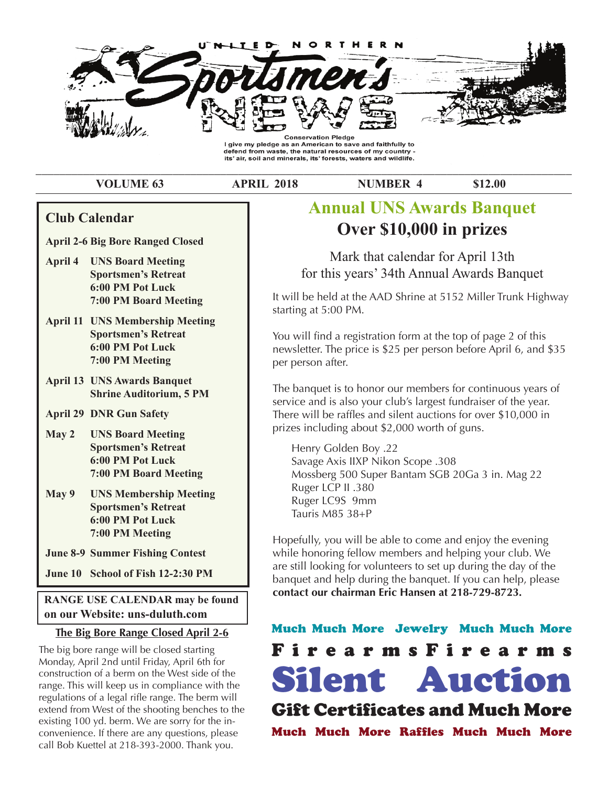

defend from waste, the natural resources of my country its' air, soil and minerals, its' forests, waters and wildlife.

\_\_\_\_\_\_\_\_\_\_\_\_\_\_\_\_\_\_\_\_\_\_\_\_\_\_\_\_\_\_\_\_\_\_\_\_\_\_\_\_\_\_\_\_\_\_\_\_\_\_\_\_\_\_\_\_\_\_\_\_\_\_\_\_\_\_\_\_\_\_\_\_\_\_\_\_\_\_\_\_\_\_\_\_\_\_\_\_\_\_

**VOLUME 63 APRIL 2018 NUMBER 4 \$12.00** 

## **Club Calendar**

**April 2-6 Big Bore Ranged Closed** 

- **RANGE USE CALENDAR MAY BE FOUND ON POT LUCK April 4 UNS Board Meeting Sportsmen's Retreat 7:00 PM Board Meeting**
- **Annual Sportsmen's Retreat n 7:00 PM Meeting** and the past past minutes of the club I control to the club I control to the club I control to the control to the club I control to the club I control to the control to the control to the control to t **April 11 UNS Membership Meeting 6:00 PM Pot Luck**
- $f(x) = \frac{1}{2} \int_{0}^{1} \frac{1}{x} e^{i \omega t} dt$ **April 13 UNS Awards Banquet**<br> **Change Anditaging 5 PM** The b. **Shrine Auditorium, 5 PM**
- $t_{\rm crit}$  and  $t_{\rm max}$  and  $t_{\rm max}$  and  $t_{\rm max}$  and  $t_{\rm max}$  and  $t_{\rm max}$  and  $t_{\rm max}$ **April 29 DNR Gun Safety** There
- **May 2 UNS Board Meeting Sportsmen's Retreat H calch 6:00 PM Pot Luck 13th for this Secure 34th Annual Annual Security Security 34th Annual Annual Security Security 34th Security 34th Annual Annual Annual Security 34th Annual Annual Annual Annual Annual Annual Ann Awards Banquet Board Meeting AT:00 PM Board Meeting**
- $\overline{\phantom{a}}$ **May 9 UNS Membership Meeting and the price is sportsmen's Retreat** above this stated above this state above this state of the price is a state of the price of the price of the state of the state of the state of the state of the state of the state of **bandary 6:00 PM Pot Luck is to homor our members of continuous years of continuous years of the software of the software of the software of the software of the software of the software of the software of the software of service; all the way from 5 years to lifetime.** It also is  $\mu_{\text{onot}}$

Iune 9.0 Summer Fishing Centest Fundraiser **June 8-9 Summer Fishing Contest** while while

**June 10 School of Fish 12-2:30 PM** 

**RANGE USE CALENDAR may be found COMA on our Website: uns-duluth.com** will be greatly appreciated and give the person some that  $\mathbf{M}_{\text{total}}$ 

## **The Big Bore Range Closed April 2-6 Muc**

The big bore range will be closed starting.  $\blacksquare$ Monday, April 2nd until Friday, April 6th for construction of a berm on the West side of the range. This will keep us in compliance with the regulations of a legal rifle range. The berm will extend from West of the shooting benches to the existing 100 yd. berm. We are sorry for the inconvenience. If there are any questions, please call Bob Kuettel at 218-393-2000. Thank you.

# Lino Calendar<br> **Over \$10,000 in prizes Annual UNS Awards Banquet**

Mark that calendar for April 13th for this years' 34th Annual Awards Banquet

**7:00 PM Board Meeting Club Clubb Clubb Clubb Clubb Clubb Clubb Clubb Clubb Clubb Clubb Clubb Clubb Clubb Clubb Clubb Clubb Clubb Clubb Clubb Clubb Clubb Clubb Clubb Clubb** starting at 5:00 PM.

> **March 1 St. Louis River walleye &** You will find a registration form at the top of page 2 of this **March 7 UNS Board Meeting** newsletter. The price is \$25 per person before April 6, and \$35 per person after.

> **Sportsmen's Retreat** The banquet is to honor our members for continuous years of Fire banquet is to nonor our members for commutative years to service and is also your club's largest fundraiser of the year. Fracture and is also your clab's largest fundation of the year.<br>There will be raffles and silent auctions for over \$10,000 in **March 11 Daylight Savings Time Begins** prizes including about \$2,000 worth of guns.

**March 14 UNS Membership Meeting** Savage Axis IIXP Nikon Scope .308 **Sportsmen's Retreat** Mossberg 500 Super Bantam SGB 20Ga 3 in. Mag 22 Henry Golden Boy .22 Ruger LCP II .380 Ruger LC9S 9mm Tauris M85 38+P

 $\frac{1}{2}$  more the merrier. Also, please, if  $\frac{1}{2}$  vendors  $\frac{1}{2}$  vendors  $\frac{1}{2}$  vendors  $\frac{1}{2}$  vendors  $\frac{1}{2}$  vendors  $\frac{1}{2}$  vendors  $\frac{1}{2}$  vendors  $\frac{1}{2}$  vendors  $\frac{1}{2}$  vendors  $\frac{1}{2}$  vend **March 15 Fox, badger, opossum and Raccoon seasons close** Hopefully, you will be able to come and enjoy the evening are sun looking for volumeers to set up during the day of the<br>banquet and help during the banquet. If you can help, please **April 4 UNS Board Meeting contact our chairman Eric Hansen at 218-729-8723.** while honoring fellow members and helping your club. We are still looking for volunteers to set up during the day of the

> Much Much More Jewelry Much Much More **7:00 PM Board Meeting** FirearmsFirearms Silent Auction Gift Certificates and Much More Much Much More Raffles Much Much More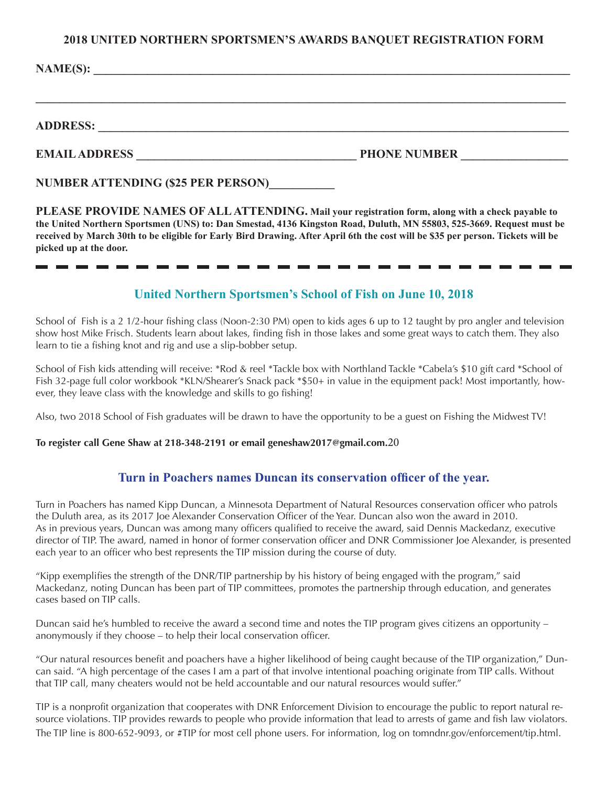#### **2018 UNITED NORTHERN SPORTSMEN'S AWARDS BANQUET REGISTRATION FORM**

**\_\_\_\_\_\_\_\_\_\_\_\_\_\_\_\_\_\_\_\_\_\_\_\_\_\_\_\_\_\_\_\_\_\_\_\_\_\_\_\_\_\_\_\_\_\_\_\_\_\_\_\_\_\_\_\_\_\_\_\_\_\_\_\_\_\_\_\_\_\_\_\_\_\_\_\_\_\_\_\_\_\_\_\_\_\_\_\_\_**

**NAME(S):**  $\blacksquare$ 

## **ADDRESS: \_\_\_\_\_\_\_\_\_\_\_\_\_\_\_\_\_\_\_\_\_\_\_\_\_\_\_\_\_\_\_\_\_\_\_\_\_\_\_\_\_\_\_\_\_\_\_\_\_\_\_\_\_\_\_\_\_\_\_\_\_\_\_\_\_\_\_\_\_\_\_\_\_\_\_\_\_\_\_**

#### **EMAIL ADDRESS PHONE NUMBER**

**NUMBER ATTENDING (\$25 PER PERSON)\_\_\_\_\_\_\_\_\_\_\_**

**PLEASE PROVIDE NAMES OF ALL ATTENDING. Mail your registration form, along with a check payable to the United Northern Sportsmen (UNS) to: Dan Smestad, 4136 Kingston Road, Duluth, MN 55803, 525-3669. Request must be received by March 30th to be eligible for Early Bird Drawing. After April 6th the cost will be \$35 per person. Tickets will be picked up at the door.**

## **United Northern Sportsmen's School of Fish on June 10, 2018**

School of Fish is a 2 1/2-hour fishing class (Noon-2:30 PM) open to kids ages 6 up to 12 taught by pro angler and television show host Mike Frisch. Students learn about lakes, finding fish in those lakes and some great ways to catch them. They also learn to tie a fishing knot and rig and use a slip-bobber setup.

School of Fish kids attending will receive: \*Rod & reel \*Tackle box with Northland Tackle \*Cabela's \$10 gift card \*School of Fish 32-page full color workbook \*KLN/Shearer's Snack pack \*\$50+ in value in the equipment pack! Most importantly, however, they leave class with the knowledge and skills to go fishing!

Also, two 2018 School of Fish graduates will be drawn to have the opportunity to be a guest on Fishing the Midwest TV!

#### **To register call Gene Shaw at 218-348-2191 or email geneshaw2017@gmail.com.**20

### **Turn in Poachers names Duncan its conservation officer of the year.**

Turn in Poachers has named Kipp Duncan, a Minnesota Department of Natural Resources conservation officer who patrols the Duluth area, as its 2017 Joe Alexander Conservation Officer of the Year. Duncan also won the award in 2010. As in previous years, Duncan was among many officers qualified to receive the award, said Dennis Mackedanz, executive director of TIP. The award, named in honor of former conservation officer and DNR Commissioner Joe Alexander, is presented each year to an officer who best represents the TIP mission during the course of duty.

"Kipp exemplifies the strength of the DNR/TIP partnership by his history of being engaged with the program," said Mackedanz, noting Duncan has been part of TIP committees, promotes the partnership through education, and generates cases based on TIP calls.

Duncan said he's humbled to receive the award a second time and notes the TIP program gives citizens an opportunity – anonymously if they choose – to help their local conservation officer.

"Our natural resources benefit and poachers have a higher likelihood of being caught because of the TIP organization," Duncan said. "A high percentage of the cases I am a part of that involve intentional poaching originate from TIP calls. Without that TIP call, many cheaters would not be held accountable and our natural resources would suffer."

TIP is a nonprofit organization that cooperates with DNR Enforcement Division to encourage the public to report natural resource violations. TIP provides rewards to people who provide information that lead to arrests of game and fish law violators. The TIP line is 800-652-9093, or #TIP for most cell phone users. For information, log on tomndnr.gov/enforcement/tip.html.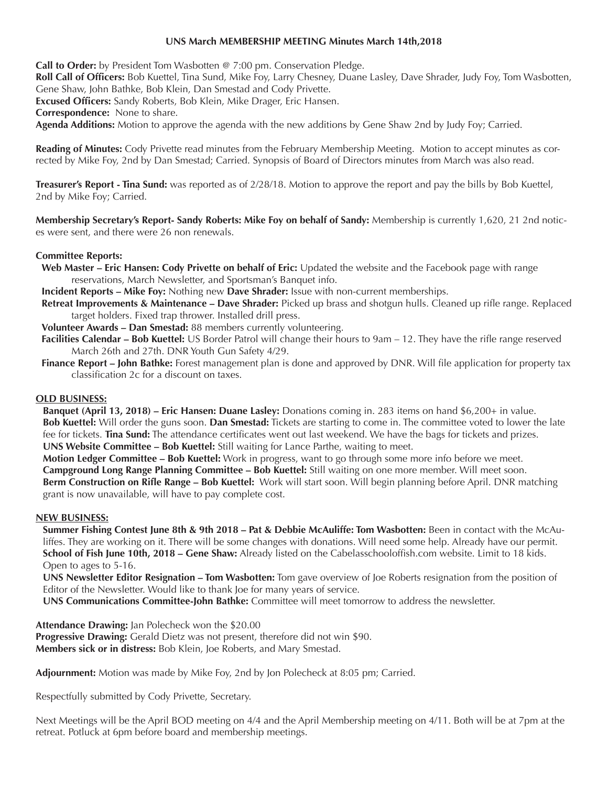#### **UNS March MEMBERSHIP MEETING Minutes March 14th,2018**

**Call to Order:** by President Tom Wasbotten @ 7:00 pm. Conservation Pledge.

**Roll Call of Officers:** Bob Kuettel, Tina Sund, Mike Foy, Larry Chesney, Duane Lasley, Dave Shrader, Judy Foy, Tom Wasbotten, Gene Shaw, John Bathke, Bob Klein, Dan Smestad and Cody Privette.

**Excused Officers:** Sandy Roberts, Bob Klein, Mike Drager, Eric Hansen.

**Correspondence:** None to share.

**Agenda Additions:** Motion to approve the agenda with the new additions by Gene Shaw 2nd by Judy Foy; Carried.

**Reading of Minutes:** Cody Privette read minutes from the February Membership Meeting. Motion to accept minutes as corrected by Mike Foy, 2nd by Dan Smestad; Carried. Synopsis of Board of Directors minutes from March was also read.

**Treasurer's Report - Tina Sund:** was reported as of 2/28/18. Motion to approve the report and pay the bills by Bob Kuettel, 2nd by Mike Foy; Carried.

**Membership Secretary's Report- Sandy Roberts: Mike Foy on behalf of Sandy:** Membership is currently 1,620, 21 2nd notices were sent, and there were 26 non renewals.

#### **Committee Reports:**

**Web Master – Eric Hansen: Cody Privette on behalf of Eric:** Updated the website and the Facebook page with range reservations, March Newsletter, and Sportsman's Banquet info.

**Incident Reports – Mike Foy:** Nothing new **Dave Shrader:** Issue with non-current memberships.

**Retreat Improvements & Maintenance – Dave Shrader:** Picked up brass and shotgun hulls. Cleaned up rifle range. Replaced target holders. Fixed trap thrower. Installed drill press.

**Volunteer Awards – Dan Smestad:** 88 members currently volunteering.

**Facilities Calendar – Bob Kuettel:** US Border Patrol will change their hours to 9am – 12. They have the rifle range reserved March 26th and 27th. DNR Youth Gun Safety 4/29.

**Finance Report – John Bathke:** Forest management plan is done and approved by DNR. Will file application for property tax classification 2c for a discount on taxes.

### **OLD BUSINESS:**

**Banquet (April 13, 2018) – Eric Hansen: Duane Lasley:** Donations coming in. 283 items on hand \$6,200+ in value. **Bob Kuettel:** Will order the guns soon. **Dan Smestad:** Tickets are starting to come in. The committee voted to lower the late fee for tickets. **Tina Sund:** The attendance certificates went out last weekend. We have the bags for tickets and prizes. **UNS Website Committee – Bob Kuettel:** Still waiting for Lance Parthe, waiting to meet.

**Motion Ledger Committee – Bob Kuettel:** Work in progress, want to go through some more info before we meet. **Campground Long Range Planning Committee – Bob Kuettel:** Still waiting on one more member. Will meet soon. **Berm Construction on Rifle Range – Bob Kuettel:** Work will start soon. Will begin planning before April. DNR matching grant is now unavailable, will have to pay complete cost.

#### **NEW BUSINESS:**

**Summer Fishing Contest June 8th & 9th 2018 – Pat & Debbie McAuliffe: Tom Wasbotten:** Been in contact with the McAuliffes. They are working on it. There will be some changes with donations. Will need some help. Already have our permit. **School of Fish June 10th, 2018 – Gene Shaw:** Already listed on the Cabelasschooloffish.com website. Limit to 18 kids. Open to ages to 5-16.

**UNS Newsletter Editor Resignation – Tom Wasbotten:** Tom gave overview of Joe Roberts resignation from the position of Editor of the Newsletter. Would like to thank Joe for many years of service.

**UNS Communications Committee-John Bathke:** Committee will meet tomorrow to address the newsletter.

**Attendance Drawing:** Jan Polecheck won the \$20.00

**Progressive Drawing:** Gerald Dietz was not present, therefore did not win \$90. **Members sick or in distress:** Bob Klein, Joe Roberts, and Mary Smestad.

**Adjournment:** Motion was made by Mike Foy, 2nd by Jon Polecheck at 8:05 pm; Carried.

Respectfully submitted by Cody Privette, Secretary.

Next Meetings will be the April BOD meeting on 4/4 and the April Membership meeting on 4/11. Both will be at 7pm at the retreat. Potluck at 6pm before board and membership meetings.